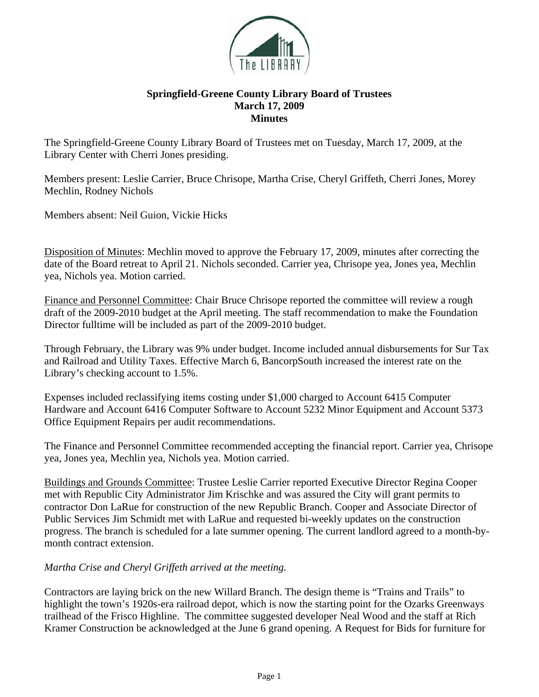

## **Springfield-Greene County Library Board of Trustees March 17, 2009 Minutes**

The Springfield-Greene County Library Board of Trustees met on Tuesday, March 17, 2009, at the Library Center with Cherri Jones presiding.

Members present: Leslie Carrier, Bruce Chrisope, Martha Crise, Cheryl Griffeth, Cherri Jones, Morey Mechlin, Rodney Nichols

Members absent: Neil Guion, Vickie Hicks

Disposition of Minutes: Mechlin moved to approve the February 17, 2009, minutes after correcting the date of the Board retreat to April 21. Nichols seconded. Carrier yea, Chrisope yea, Jones yea, Mechlin yea, Nichols yea. Motion carried.

Finance and Personnel Committee: Chair Bruce Chrisope reported the committee will review a rough draft of the 2009-2010 budget at the April meeting. The staff recommendation to make the Foundation Director fulltime will be included as part of the 2009-2010 budget.

Through February, the Library was 9% under budget. Income included annual disbursements for Sur Tax and Railroad and Utility Taxes. Effective March 6, BancorpSouth increased the interest rate on the Library's checking account to 1.5%.

Expenses included reclassifying items costing under \$1,000 charged to Account 6415 Computer Hardware and Account 6416 Computer Software to Account 5232 Minor Equipment and Account 5373 Office Equipment Repairs per audit recommendations.

The Finance and Personnel Committee recommended accepting the financial report. Carrier yea, Chrisope yea, Jones yea, Mechlin yea, Nichols yea. Motion carried.

Buildings and Grounds Committee: Trustee Leslie Carrier reported Executive Director Regina Cooper met with Republic City Administrator Jim Krischke and was assured the City will grant permits to contractor Don LaRue for construction of the new Republic Branch. Cooper and Associate Director of Public Services Jim Schmidt met with LaRue and requested bi-weekly updates on the construction progress. The branch is scheduled for a late summer opening. The current landlord agreed to a month-bymonth contract extension.

*Martha Crise and Cheryl Griffeth arrived at the meeting.*

Contractors are laying brick on the new Willard Branch. The design theme is "Trains and Trails" to highlight the town's 1920s-era railroad depot, which is now the starting point for the Ozarks Greenways trailhead of the Frisco Highline. The committee suggested developer Neal Wood and the staff at Rich Kramer Construction be acknowledged at the June 6 grand opening. A Request for Bids for furniture for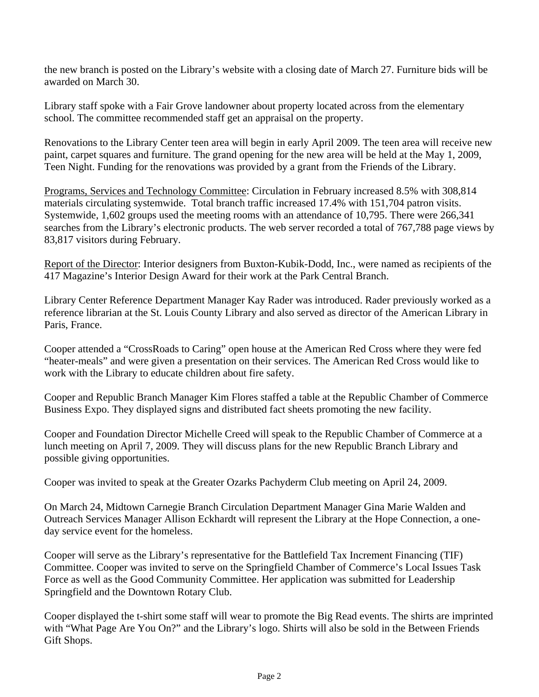the new branch is posted on the Library's website with a closing date of March 27. Furniture bids will be awarded on March 30.

Library staff spoke with a Fair Grove landowner about property located across from the elementary school. The committee recommended staff get an appraisal on the property.

Renovations to the Library Center teen area will begin in early April 2009. The teen area will receive new paint, carpet squares and furniture. The grand opening for the new area will be held at the May 1, 2009, Teen Night. Funding for the renovations was provided by a grant from the Friends of the Library.

Programs, Services and Technology Committee: Circulation in February increased 8.5% with 308,814 materials circulating systemwide. Total branch traffic increased 17.4% with 151,704 patron visits. Systemwide, 1,602 groups used the meeting rooms with an attendance of 10,795. There were 266,341 searches from the Library's electronic products. The web server recorded a total of 767,788 page views by 83,817 visitors during February.

Report of the Director: Interior designers from Buxton-Kubik-Dodd, Inc., were named as recipients of the 417 Magazine's Interior Design Award for their work at the Park Central Branch.

Library Center Reference Department Manager Kay Rader was introduced. Rader previously worked as a reference librarian at the St. Louis County Library and also served as director of the American Library in Paris, France.

Cooper attended a "CrossRoads to Caring" open house at the American Red Cross where they were fed "heater-meals" and were given a presentation on their services. The American Red Cross would like to work with the Library to educate children about fire safety.

Cooper and Republic Branch Manager Kim Flores staffed a table at the Republic Chamber of Commerce Business Expo. They displayed signs and distributed fact sheets promoting the new facility.

Cooper and Foundation Director Michelle Creed will speak to the Republic Chamber of Commerce at a lunch meeting on April 7, 2009. They will discuss plans for the new Republic Branch Library and possible giving opportunities.

Cooper was invited to speak at the Greater Ozarks Pachyderm Club meeting on April 24, 2009.

On March 24, Midtown Carnegie Branch Circulation Department Manager Gina Marie Walden and Outreach Services Manager Allison Eckhardt will represent the Library at the Hope Connection, a oneday service event for the homeless.

Cooper will serve as the Library's representative for the Battlefield Tax Increment Financing (TIF) Committee. Cooper was invited to serve on the Springfield Chamber of Commerce's Local Issues Task Force as well as the Good Community Committee. Her application was submitted for Leadership Springfield and the Downtown Rotary Club.

Cooper displayed the t-shirt some staff will wear to promote the Big Read events. The shirts are imprinted with "What Page Are You On?" and the Library's logo. Shirts will also be sold in the Between Friends Gift Shops.